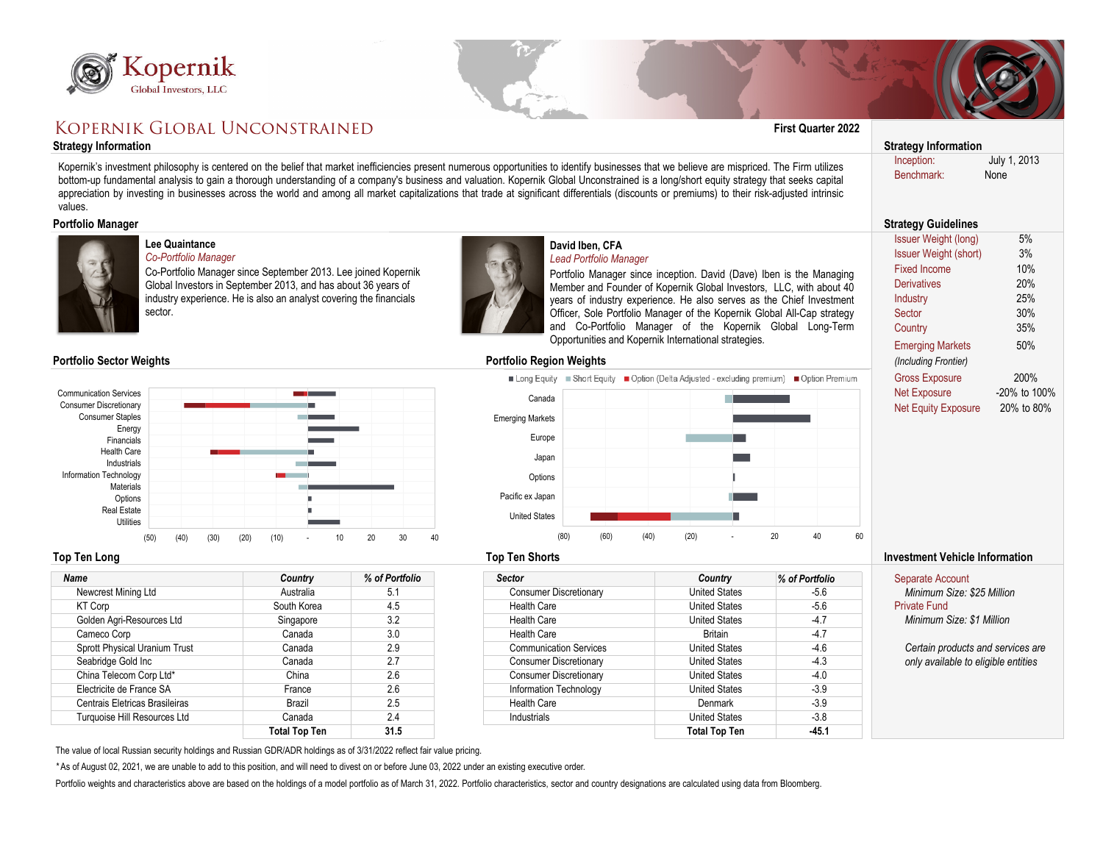



**Denmark** United States

**Total Top Ten -45.1**

-3.9

| <b>KOPERNIK GLOBAL UNCONSTRAINED</b>                                                                                                                                                                                                                              | <b>First Quarter 2022</b>                                                                                                                                                                                                    |                             |                                                                                                                                                                                                                                                                                                                                                                                                                                                                                                                                                                                           |                      |                           |                                                  |  |  |
|-------------------------------------------------------------------------------------------------------------------------------------------------------------------------------------------------------------------------------------------------------------------|------------------------------------------------------------------------------------------------------------------------------------------------------------------------------------------------------------------------------|-----------------------------|-------------------------------------------------------------------------------------------------------------------------------------------------------------------------------------------------------------------------------------------------------------------------------------------------------------------------------------------------------------------------------------------------------------------------------------------------------------------------------------------------------------------------------------------------------------------------------------------|----------------------|---------------------------|--------------------------------------------------|--|--|
| <b>Strategy Information</b>                                                                                                                                                                                                                                       |                                                                                                                                                                                                                              | <b>Strategy Information</b> |                                                                                                                                                                                                                                                                                                                                                                                                                                                                                                                                                                                           |                      |                           |                                                  |  |  |
| values.                                                                                                                                                                                                                                                           |                                                                                                                                                                                                                              |                             | Kopernik's investment philosophy is centered on the belief that market inefficiencies present numerous opportunities to identify businesses that we believe are mispriced. The Firm utilizes<br>bottom-up fundamental analysis to gain a thorough understanding of a company's business and valuation. Kopernik Global Unconstrained is a long/short equity strategy that seeks capital<br>appreciation by investing in businesses across the world and among all market capitalizations that trade at significant differentials (discounts or premiums) to their risk-adjusted intrinsic |                      |                           | July 1, 2013<br>Inception:<br>Benchmark:<br>None |  |  |
| <b>Portfolio Manager</b>                                                                                                                                                                                                                                          | <b>Strategy Guidelines</b>                                                                                                                                                                                                   |                             |                                                                                                                                                                                                                                                                                                                                                                                                                                                                                                                                                                                           |                      |                           |                                                  |  |  |
| Lee Quaintance<br><b>Co-Portfolio Manager</b><br>Co-Portfolio Manager since September 2013. Lee joined Kopernik<br>Global Investors in September 2013, and has about 36 years of<br>industry experience. He is also an analyst covering the financials<br>sector. | $5%$<br><b>Issuer Weight (long)</b><br><b>Issuer Weight (short)</b><br>3%<br><b>Fixed Income</b><br>10%<br>20%<br><b>Derivatives</b><br>25%<br>Industry<br>30%<br>Sector<br>35%<br>Country<br>50%<br><b>Emerging Markets</b> |                             |                                                                                                                                                                                                                                                                                                                                                                                                                                                                                                                                                                                           |                      |                           |                                                  |  |  |
| <b>Portfolio Sector Weights</b>                                                                                                                                                                                                                                   |                                                                                                                                                                                                                              |                             | <b>Portfolio Region Weights</b>                                                                                                                                                                                                                                                                                                                                                                                                                                                                                                                                                           |                      |                           | (Including Frontier)                             |  |  |
|                                                                                                                                                                                                                                                                   |                                                                                                                                                                                                                              |                             | ■ Long Equity ■ Short Equity ■ Option (Delta Adjusted - excluding premium) ■ Option Premium                                                                                                                                                                                                                                                                                                                                                                                                                                                                                               |                      |                           | 200%<br><b>Gross Exposure</b>                    |  |  |
| <b>Communication Services</b>                                                                                                                                                                                                                                     |                                                                                                                                                                                                                              |                             | Canada                                                                                                                                                                                                                                                                                                                                                                                                                                                                                                                                                                                    |                      |                           | <b>Net Exposure</b><br>-20% to 100%              |  |  |
| <b>Consumer Discretionary</b>                                                                                                                                                                                                                                     |                                                                                                                                                                                                                              |                             |                                                                                                                                                                                                                                                                                                                                                                                                                                                                                                                                                                                           |                      |                           | <b>Net Equity Exposure</b><br>20% to 80%         |  |  |
| <b>Consumer Staples</b>                                                                                                                                                                                                                                           |                                                                                                                                                                                                                              |                             | <b>Emerging Markets</b>                                                                                                                                                                                                                                                                                                                                                                                                                                                                                                                                                                   |                      |                           |                                                  |  |  |
| Energy<br>Financials                                                                                                                                                                                                                                              |                                                                                                                                                                                                                              |                             | Europe                                                                                                                                                                                                                                                                                                                                                                                                                                                                                                                                                                                    |                      |                           |                                                  |  |  |
| <b>Health Care</b>                                                                                                                                                                                                                                                |                                                                                                                                                                                                                              |                             |                                                                                                                                                                                                                                                                                                                                                                                                                                                                                                                                                                                           |                      |                           |                                                  |  |  |
| Industrials                                                                                                                                                                                                                                                       |                                                                                                                                                                                                                              |                             | Japan                                                                                                                                                                                                                                                                                                                                                                                                                                                                                                                                                                                     |                      |                           |                                                  |  |  |
| <b>Information Technology</b>                                                                                                                                                                                                                                     | <b>Contract Contract</b>                                                                                                                                                                                                     |                             | Options                                                                                                                                                                                                                                                                                                                                                                                                                                                                                                                                                                                   |                      |                           |                                                  |  |  |
| <b>Materials</b>                                                                                                                                                                                                                                                  |                                                                                                                                                                                                                              |                             |                                                                                                                                                                                                                                                                                                                                                                                                                                                                                                                                                                                           |                      |                           |                                                  |  |  |
| Options                                                                                                                                                                                                                                                           |                                                                                                                                                                                                                              |                             | Pacific ex Japan                                                                                                                                                                                                                                                                                                                                                                                                                                                                                                                                                                          |                      |                           |                                                  |  |  |
| <b>Real Estate</b>                                                                                                                                                                                                                                                |                                                                                                                                                                                                                              |                             | <b>United States</b>                                                                                                                                                                                                                                                                                                                                                                                                                                                                                                                                                                      |                      |                           |                                                  |  |  |
| <b>Utilities</b>                                                                                                                                                                                                                                                  |                                                                                                                                                                                                                              |                             |                                                                                                                                                                                                                                                                                                                                                                                                                                                                                                                                                                                           |                      |                           |                                                  |  |  |
| (50)<br>(30)<br>(40)                                                                                                                                                                                                                                              | (20)<br>(10)<br>10                                                                                                                                                                                                           | 20<br>30<br>$\Delta f$      | (80)<br>(60)                                                                                                                                                                                                                                                                                                                                                                                                                                                                                                                                                                              | (40)<br>(20)         | 20<br>40<br>60            |                                                  |  |  |
| <b>Top Ten Long</b>                                                                                                                                                                                                                                               | <b>Investment Vehicle Information</b>                                                                                                                                                                                        |                             |                                                                                                                                                                                                                                                                                                                                                                                                                                                                                                                                                                                           |                      |                           |                                                  |  |  |
| Name                                                                                                                                                                                                                                                              | Country                                                                                                                                                                                                                      | % of Portfolio              | <b>Sector</b>                                                                                                                                                                                                                                                                                                                                                                                                                                                                                                                                                                             | Country              | % of Portfolio            | Separate Account                                 |  |  |
| Newcrest Mining Ltd                                                                                                                                                                                                                                               | Australia                                                                                                                                                                                                                    | 5.1                         | <b>Consumer Discretionary</b>                                                                                                                                                                                                                                                                                                                                                                                                                                                                                                                                                             | <b>United States</b> | $-5.6$                    | Minimum Size: \$25 Million                       |  |  |
| South Korea<br>4.5<br><b>KT Corp</b>                                                                                                                                                                                                                              |                                                                                                                                                                                                                              | <b>Health Care</b>          | <b>United States</b>                                                                                                                                                                                                                                                                                                                                                                                                                                                                                                                                                                      | $-5.6$               | <b>Private Fund</b>       |                                                  |  |  |
| Golden Agri-Resources Ltd<br>3.2<br>Singapore                                                                                                                                                                                                                     |                                                                                                                                                                                                                              | <b>Health Care</b>          | <b>United States</b>                                                                                                                                                                                                                                                                                                                                                                                                                                                                                                                                                                      | $-4.7$               | Minimum Size: \$1 Million |                                                  |  |  |
| 3.0<br>Canada<br>Cameco Corp                                                                                                                                                                                                                                      |                                                                                                                                                                                                                              |                             | <b>Health Care</b>                                                                                                                                                                                                                                                                                                                                                                                                                                                                                                                                                                        | <b>Britain</b>       | $-4.7$                    |                                                  |  |  |
| Sprott Physical Uranium Trust<br>2.9<br>Canada                                                                                                                                                                                                                    |                                                                                                                                                                                                                              |                             | <b>Communication Services</b>                                                                                                                                                                                                                                                                                                                                                                                                                                                                                                                                                             | <b>United States</b> | $-4.6$                    | Certain products and services are                |  |  |
| 2.7<br>Seabridge Gold Inc<br>Canada                                                                                                                                                                                                                               |                                                                                                                                                                                                                              |                             | <b>Consumer Discretionary</b>                                                                                                                                                                                                                                                                                                                                                                                                                                                                                                                                                             | <b>United States</b> | $-4.3$                    | only available to eligible entities              |  |  |
| China Telecom Corp Ltd*<br>2.6<br>China                                                                                                                                                                                                                           |                                                                                                                                                                                                                              |                             | <b>Consumer Discretionary</b>                                                                                                                                                                                                                                                                                                                                                                                                                                                                                                                                                             | <b>United States</b> | $-4.0$                    |                                                  |  |  |
| Electricite de France SA                                                                                                                                                                                                                                          | France                                                                                                                                                                                                                       | 2.6                         | Information Technology                                                                                                                                                                                                                                                                                                                                                                                                                                                                                                                                                                    | <b>United States</b> | $-3.9$                    |                                                  |  |  |
|                                                                                                                                                                                                                                                                   |                                                                                                                                                                                                                              |                             |                                                                                                                                                                                                                                                                                                                                                                                                                                                                                                                                                                                           |                      |                           |                                                  |  |  |

The value of local Russian security holdings and Russian GDR/ADR holdings as of 3/31/2022 reflect fair value pricing.

*\** As of August 02, 2021, we are unable to add to this position, and will need to divest on or before June 03, 2022 under an existing executive order.

Centrais Eletricas Brasileiras Brazil 2.5 Health Care

**Total Top Ten 31.5**

Portfolio weights and characteristics above are based on the holdings of a model portfolio as of March 31, 2022. Portfolio characteristics, sector and country designations are calculated using data from Bloomberg.

Turquoise Hill Resources Ltd Canada 2.4 - Industrials Canada 2.4 - Industrials Canada - 3.8

Industrials